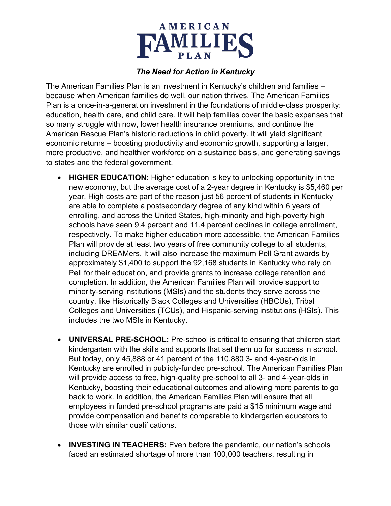

## *The Need for Action in Kentucky*

The American Families Plan is an investment in Kentucky's children and families – because when American families do well, our nation thrives. The American Families Plan is a once-in-a-generation investment in the foundations of middle-class prosperity: education, health care, and child care. It will help families cover the basic expenses that so many struggle with now, lower health insurance premiums, and continue the American Rescue Plan's historic reductions in child poverty. It will yield significant economic returns – boosting productivity and economic growth, supporting a larger, more productive, and healthier workforce on a sustained basis, and generating savings to states and the federal government.

- **HIGHER EDUCATION:** Higher education is key to unlocking opportunity in the new economy, but the average cost of a 2-year degree in Kentucky is \$5,460 per year. High costs are part of the reason just 56 percent of students in Kentucky are able to complete a postsecondary degree of any kind within 6 years of enrolling, and across the United States, high-minority and high-poverty high schools have seen 9.4 percent and 11.4 percent declines in college enrollment, respectively. To make higher education more accessible, the American Families Plan will provide at least two years of free community college to all students, including DREAMers. It will also increase the maximum Pell Grant awards by approximately \$1,400 to support the 92,168 students in Kentucky who rely on Pell for their education, and provide grants to increase college retention and completion. In addition, the American Families Plan will provide support to minority-serving institutions (MSIs) and the students they serve across the country, like Historically Black Colleges and Universities (HBCUs), Tribal Colleges and Universities (TCUs), and Hispanic-serving institutions (HSIs). This includes the two MSIs in Kentucky.
- **UNIVERSAL PRE-SCHOOL:** Pre-school is critical to ensuring that children start kindergarten with the skills and supports that set them up for success in school. But today, only 45,888 or 41 percent of the 110,880 3- and 4-year-olds in Kentucky are enrolled in publicly-funded pre-school. The American Families Plan will provide access to free, high-quality pre-school to all 3- and 4-year-olds in Kentucky, boosting their educational outcomes and allowing more parents to go back to work. In addition, the American Families Plan will ensure that all employees in funded pre-school programs are paid a \$15 minimum wage and provide compensation and benefits comparable to kindergarten educators to those with similar qualifications.
- **INVESTING IN TEACHERS:** Even before the pandemic, our nation's schools faced an estimated shortage of more than 100,000 teachers, resulting in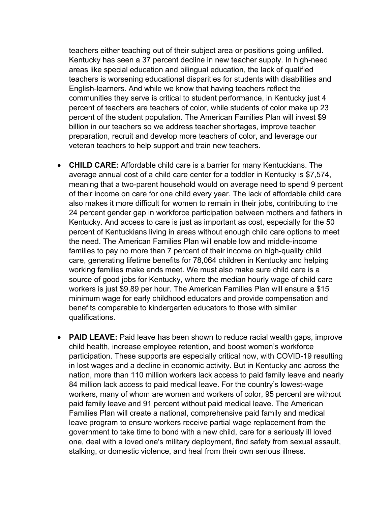teachers either teaching out of their subject area or positions going unfilled. Kentucky has seen a 37 percent decline in new teacher supply. In high-need areas like special education and bilingual education, the lack of qualified teachers is worsening educational disparities for students with disabilities and English-learners. And while we know that having teachers reflect the communities they serve is critical to student performance, in Kentucky just 4 percent of teachers are teachers of color, while students of color make up 23 percent of the student population. The American Families Plan will invest \$9 billion in our teachers so we address teacher shortages, improve teacher preparation, recruit and develop more teachers of color, and leverage our veteran teachers to help support and train new teachers.

- **CHILD CARE:** Affordable child care is a barrier for many Kentuckians. The average annual cost of a child care center for a toddler in Kentucky is \$7,574, meaning that a two-parent household would on average need to spend 9 percent of their income on care for one child every year. The lack of affordable child care also makes it more difficult for women to remain in their jobs, contributing to the 24 percent gender gap in workforce participation between mothers and fathers in Kentucky. And access to care is just as important as cost, especially for the 50 percent of Kentuckians living in areas without enough child care options to meet the need. The American Families Plan will enable low and middle-income families to pay no more than 7 percent of their income on high-quality child care, generating lifetime benefits for 78,064 children in Kentucky and helping working families make ends meet. We must also make sure child care is a source of good jobs for Kentucky, where the median hourly wage of child care workers is just \$9.89 per hour. The American Families Plan will ensure a \$15 minimum wage for early childhood educators and provide compensation and benefits comparable to kindergarten educators to those with similar qualifications.
- **PAID LEAVE:** Paid leave has been shown to reduce racial wealth gaps, improve child health, increase employee retention, and boost women's workforce participation. These supports are especially critical now, with COVID-19 resulting in lost wages and a decline in economic activity. But in Kentucky and across the nation, more than 110 million workers lack access to paid family leave and nearly 84 million lack access to paid medical leave. For the country's lowest-wage workers, many of whom are women and workers of color, 95 percent are without paid family leave and 91 percent without paid medical leave. The American Families Plan will create a national, comprehensive paid family and medical leave program to ensure workers receive partial wage replacement from the government to take time to bond with a new child, care for a seriously ill loved one, deal with a loved one's military deployment, find safety from sexual assault, stalking, or domestic violence, and heal from their own serious illness.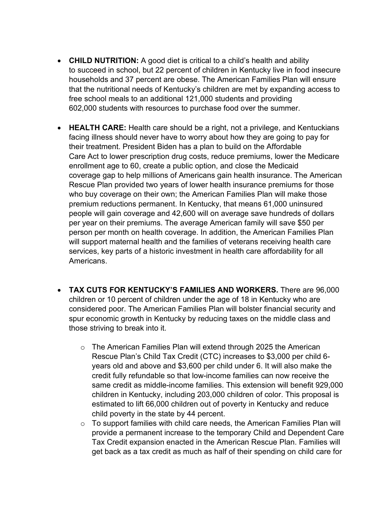- **CHILD NUTRITION:** A good diet is critical to a child's health and ability to succeed in school, but 22 percent of children in Kentucky live in food insecure households and 37 percent are obese. The American Families Plan will ensure that the nutritional needs of Kentucky's children are met by expanding access to free school meals to an additional 121,000 students and providing 602,000 students with resources to purchase food over the summer.
- **HEALTH CARE:** Health care should be a right, not a privilege, and Kentuckians facing illness should never have to worry about how they are going to pay for their treatment. President Biden has a plan to build on the Affordable Care Act to lower prescription drug costs, reduce premiums, lower the Medicare enrollment age to 60, create a public option, and close the Medicaid coverage gap to help millions of Americans gain health insurance. The American Rescue Plan provided two years of lower health insurance premiums for those who buy coverage on their own; the American Families Plan will make those premium reductions permanent. In Kentucky, that means 61,000 uninsured people will gain coverage and 42,600 will on average save hundreds of dollars per year on their premiums. The average American family will save \$50 per person per month on health coverage. In addition, the American Families Plan will support maternal health and the families of veterans receiving health care services, key parts of a historic investment in health care affordability for all Americans.
- **TAX CUTS FOR KENTUCKY'S FAMILIES AND WORKERS.** There are 96,000 children or 10 percent of children under the age of 18 in Kentucky who are considered poor. The American Families Plan will bolster financial security and spur economic growth in Kentucky by reducing taxes on the middle class and those striving to break into it.
	- o The American Families Plan will extend through 2025 the American Rescue Plan's Child Tax Credit (CTC) increases to \$3,000 per child 6 years old and above and \$3,600 per child under 6. It will also make the credit fully refundable so that low-income families can now receive the same credit as middle-income families. This extension will benefit 929,000 children in Kentucky, including 203,000 children of color. This proposal is estimated to lift 66,000 children out of poverty in Kentucky and reduce child poverty in the state by 44 percent.
	- $\circ$  To support families with child care needs, the American Families Plan will provide a permanent increase to the temporary Child and Dependent Care Tax Credit expansion enacted in the American Rescue Plan. Families will get back as a tax credit as much as half of their spending on child care for